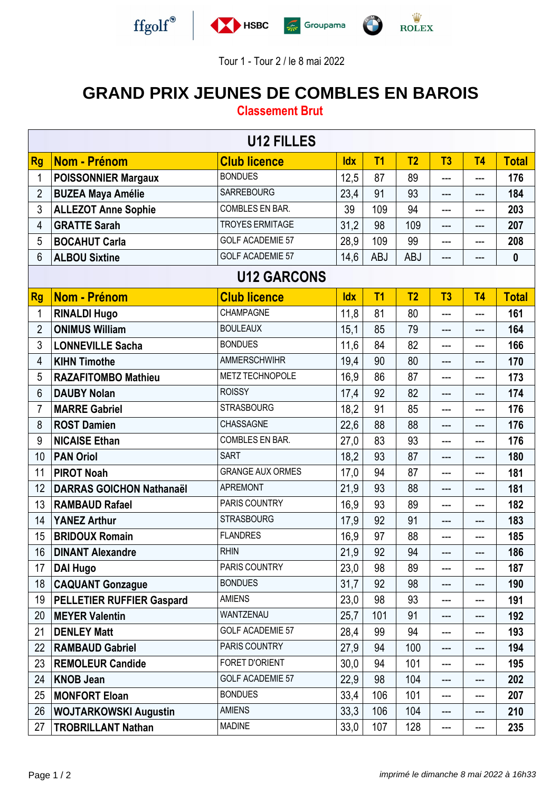



Tour 1 - Tour 2 / le 8 mai 2022

## **GRAND PRIX JEUNES DE COMBLES EN BAROIS**

## **Classement Brut**

| <b>U12 FILLES</b> |                                  |                         |            |                |                |                |                            |                  |  |  |
|-------------------|----------------------------------|-------------------------|------------|----------------|----------------|----------------|----------------------------|------------------|--|--|
| <b>Rg</b>         | Nom - Prénom                     | <b>Club licence</b>     | <b>Idx</b> | T <sub>1</sub> | T <sub>2</sub> | T <sub>3</sub> | T <sub>4</sub>             | <b>Total</b>     |  |  |
| 1                 | <b>POISSONNIER Margaux</b>       | <b>BONDUES</b>          | 12,5       | 87             | 89             | ---            | ---                        | 176              |  |  |
| $\overline{2}$    | <b>BUZEA Maya Amélie</b>         | <b>SARREBOURG</b>       | 23,4       | 91             | 93             | ---            | ---                        | 184              |  |  |
| 3                 | <b>ALLEZOT Anne Sophie</b>       | COMBLES EN BAR.         | 39         | 109            | 94             | ---            | ---                        | 203              |  |  |
| 4                 | <b>GRATTE Sarah</b>              | <b>TROYES ERMITAGE</b>  | 31,2       | 98             | 109            | ---            | $\qquad \qquad \text{---}$ | 207              |  |  |
| 5                 | <b>BOCAHUT Carla</b>             | <b>GOLF ACADEMIE 57</b> | 28,9       | 109            | 99             | ---            | ---                        | 208              |  |  |
| 6                 | <b>ALBOU Sixtine</b>             | <b>GOLF ACADEMIE 57</b> | 14,6       | <b>ABJ</b>     | <b>ABJ</b>     | ---            | ---                        | $\boldsymbol{0}$ |  |  |
|                   | <b>U12 GARCONS</b>               |                         |            |                |                |                |                            |                  |  |  |
| <b>Rg</b>         | Nom - Prénom                     | <b>Club licence</b>     | <b>Idx</b> | T <sub>1</sub> | T <sub>2</sub> | T3             | T <sub>4</sub>             | <b>Total</b>     |  |  |
| 1                 | <b>RINALDI Hugo</b>              | CHAMPAGNE               | 11,8       | 81             | 80             | ---            | $---$                      | 161              |  |  |
| $\overline{2}$    | <b>ONIMUS William</b>            | <b>BOULEAUX</b>         | 15,1       | 85             | 79             | ---            | ---                        | 164              |  |  |
| 3                 | <b>LONNEVILLE Sacha</b>          | <b>BONDUES</b>          | 11,6       | 84             | 82             | ---            | ---                        | 166              |  |  |
| 4                 | <b>KIHN Timothe</b>              | <b>AMMERSCHWIHR</b>     | 19,4       | 90             | 80             | ---            | ---                        | 170              |  |  |
| 5                 | <b>RAZAFITOMBO Mathieu</b>       | METZ TECHNOPOLE         | 16,9       | 86             | 87             | ---            | ---                        | 173              |  |  |
| 6                 | <b>DAUBY Nolan</b>               | <b>ROISSY</b>           | 17,4       | 92             | 82             | ---            | ---                        | 174              |  |  |
| 7                 | <b>MARRE Gabriel</b>             | <b>STRASBOURG</b>       | 18,2       | 91             | 85             | ---            | ---                        | 176              |  |  |
| 8                 | <b>ROST Damien</b>               | CHASSAGNE               | 22,6       | 88             | 88             | ---            | ---                        | 176              |  |  |
| 9                 | <b>NICAISE Ethan</b>             | COMBLES EN BAR.         | 27,0       | 83             | 93             | $---$          | ---                        | 176              |  |  |
| 10                | <b>PAN Oriol</b>                 | <b>SART</b>             | 18,2       | 93             | 87             | ---            | ---                        | 180              |  |  |
| 11                | <b>PIROT Noah</b>                | <b>GRANGE AUX ORMES</b> | 17,0       | 94             | 87             | ---            | ---                        | 181              |  |  |
| 12                | <b>DARRAS GOICHON Nathanaël</b>  | <b>APREMONT</b>         | 21,9       | 93             | 88             | ---            | ---                        | 181              |  |  |
| 13                | <b>RAMBAUD Rafael</b>            | PARIS COUNTRY           | 16,9       | 93             | 89             | ---            | ---                        | 182              |  |  |
| 14                | <b>YANEZ Arthur</b>              | <b>STRASBOURG</b>       | 17,9       | 92             | 91             | ---            | ---                        | 183              |  |  |
| 15                | <b>BRIDOUX Romain</b>            | <b>FLANDRES</b>         | 16,9       | 97             | 88             | ---            | ---                        | 185              |  |  |
| 16                | <b>DINANT Alexandre</b>          | <b>RHIN</b>             | 21,9       | 92             | 94             | ---            | $---$                      | 186              |  |  |
| 17                | <b>DAI Hugo</b>                  | PARIS COUNTRY           | 23,0       | 98             | 89             | ---            | ---                        | 187              |  |  |
| 18                | <b>CAQUANT Gonzague</b>          | <b>BONDUES</b>          | 31,7       | 92             | 98             | ---            | ---                        | 190              |  |  |
| 19                | <b>PELLETIER RUFFIER Gaspard</b> | <b>AMIENS</b>           | 23,0       | 98             | 93             | ---            | $---$                      | 191              |  |  |
| 20                | <b>MEYER Valentin</b>            | WANTZENAU               | 25,7       | 101            | 91             | ---            | ---                        | 192              |  |  |
| 21                | <b>DENLEY Matt</b>               | <b>GOLF ACADEMIE 57</b> | 28,4       | 99             | 94             | ---            | ---                        | 193              |  |  |
| 22                | <b>RAMBAUD Gabriel</b>           | PARIS COUNTRY           | 27,9       | 94             | 100            | ---            | $---$                      | 194              |  |  |
| 23                | <b>REMOLEUR Candide</b>          | FORET D'ORIENT          | 30,0       | 94             | 101            | ---            | $\qquad \qquad \text{---}$ | 195              |  |  |
| 24                | <b>KNOB Jean</b>                 | <b>GOLF ACADEMIE 57</b> | 22,9       | 98             | 104            | ---            | $---$                      | 202              |  |  |
| 25                | <b>MONFORT Eloan</b>             | <b>BONDUES</b>          | 33,4       | 106            | 101            | ---            | ---                        | 207              |  |  |
| 26                | <b>WOJTARKOWSKI Augustin</b>     | <b>AMIENS</b>           | 33,3       | 106            | 104            | ---            | $---$                      | 210              |  |  |
| 27                | <b>TROBRILLANT Nathan</b>        | <b>MADINE</b>           | 33,0       | 107            | 128            | ---            | ---                        | 235              |  |  |